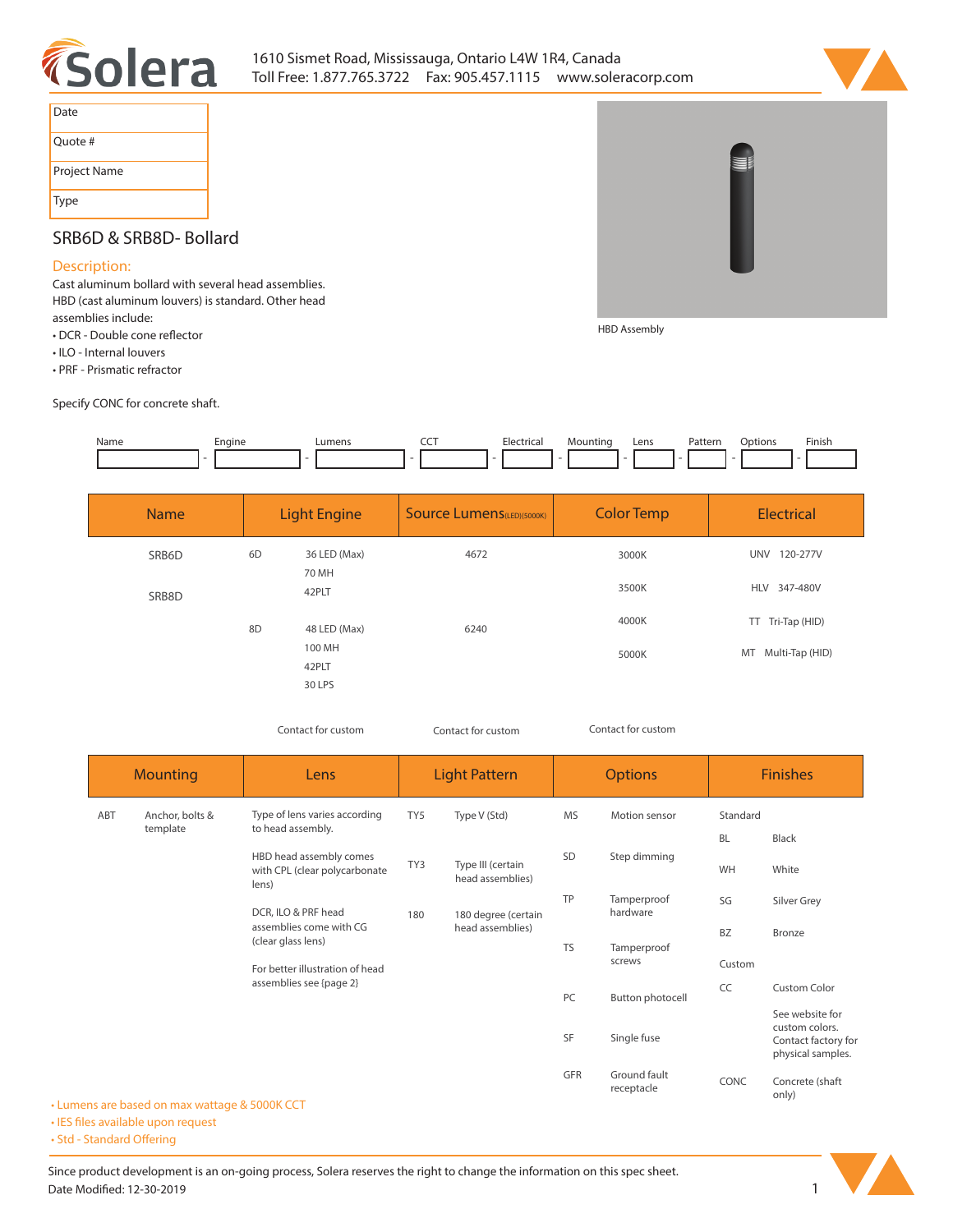



| Date         |
|--------------|
| Ouote #      |
| Project Name |
| <b>Type</b>  |

## **SRB6D & SRB8D- Bollard**

## **Description:**

**Cast aluminum bollard with several head assemblies. HBD (cast aluminum louvers) is standard. Other head assemblies include:** 

- DCR Double cone reflector
- **ILO Internal louvers**
- **PRF Prismatic refractor**

**Specify CONC for concrete shaft.** 



| <b>Name</b> |    | <b>Light Engine</b>       | <b>Source Lumens</b> (LED)(5000K) | <b>Color Temp</b> | <b>Electrical</b>      |
|-------------|----|---------------------------|-----------------------------------|-------------------|------------------------|
| SRB6D       | 6D | 36 LED (Max)<br>70 MH     | 4672                              | 3000K             | <b>UNV</b><br>120-277V |
| SRB8D       |    | 42PLT                     |                                   | 3500K             | HLV 347-480V           |
|             | 8D | 48 LED (Max)              | 6240                              | 4000K             | TT Tri-Tap (HID)       |
|             |    | 100 MH<br>42PLT<br>30 LPS |                                   | 5000K             | Multi-Tap (HID)<br>MT  |

*Contact for custom Contact for custom*

*Contact for custom*

**HBD Assembly**

| <b>Mounting</b>                    |                                          | Lens                                                                                                                                                                                                    | <b>Light Pattern</b> |                                         | <b>Options</b> |                            | <b>Finishes</b> |                                                                               |
|------------------------------------|------------------------------------------|---------------------------------------------------------------------------------------------------------------------------------------------------------------------------------------------------------|----------------------|-----------------------------------------|----------------|----------------------------|-----------------|-------------------------------------------------------------------------------|
| ABT<br>Anchor, bolts &<br>template |                                          | Type of lens varies according<br>to head assembly.                                                                                                                                                      | TY <sub>5</sub>      | Type V (Std)                            | <b>MS</b>      | Motion sensor              | Standard        |                                                                               |
|                                    |                                          |                                                                                                                                                                                                         |                      |                                         |                | <b>BL</b>                  | Black           |                                                                               |
|                                    |                                          | HBD head assembly comes<br>with CPL (clear polycarbonate<br>lens)<br>DCR, ILO & PRF head<br>assemblies come with CG<br>(clear glass lens)<br>For better illustration of head<br>assemblies see {page 2} | TY3                  | Type III (certain<br>head assemblies)   | SD             | Step dimming               | WH              | White                                                                         |
|                                    |                                          |                                                                                                                                                                                                         | 180                  | 180 degree (certain<br>head assemblies) | TP             | Tamperproof<br>hardware    | SG              | Silver Grey                                                                   |
|                                    |                                          |                                                                                                                                                                                                         |                      |                                         | <b>TS</b>      | Tamperproof<br>screws      | <b>BZ</b>       | Bronze                                                                        |
|                                    |                                          |                                                                                                                                                                                                         |                      |                                         |                |                            | Custom          |                                                                               |
|                                    |                                          |                                                                                                                                                                                                         |                      |                                         | PC             | Button photocell           | CC              | <b>Custom Color</b>                                                           |
|                                    | ins are hased on may wattane & 5000K CCT |                                                                                                                                                                                                         |                      |                                         | <b>SF</b>      | Single fuse                |                 | See website for<br>custom colors.<br>Contact factory for<br>physical samples. |
|                                    |                                          |                                                                                                                                                                                                         |                      |                                         | GFR            | Ground fault<br>receptacle | CONC            | Concrete (shaft<br>only)                                                      |

**• Lumens are based on max wattage & 5000K CCT • IES files available upon request** 

• Std - Standard Offering

Since product development is an on-going process, Solera reserves the right to change the information on this spec sheet. **Date Modified: 12-30-2019** 1